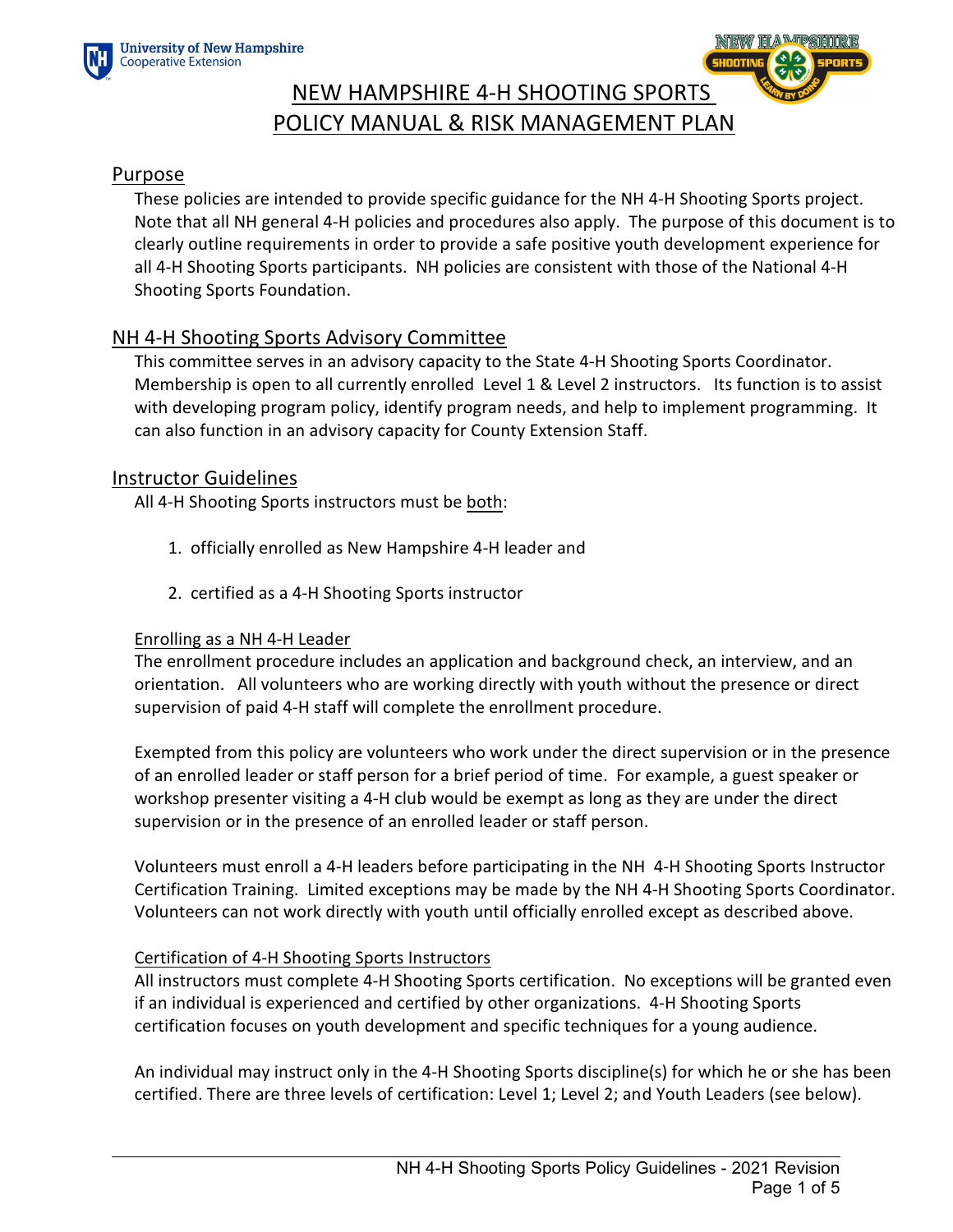



# NEW HAMPSHIRE 4-H SHOOTING SPORTS POLICY MANUAL & RISK MANAGEMENT PLAN

### Purpose

These policies are intended to provide specific guidance for the NH 4-H Shooting Sports project. Note that all NH general 4-H policies and procedures also apply. The purpose of this document is to clearly outline requirements in order to provide a safe positive youth development experience for all 4-H Shooting Sports participants. NH policies are consistent with those of the National 4-H Shooting Sports Foundation.

# NH 4-H Shooting Sports Advisory Committee

This committee serves in an advisory capacity to the State 4-H Shooting Sports Coordinator. Membership is open to all currently enrolled Level 1 & Level 2 instructors. Its function is to assist with developing program policy, identify program needs, and help to implement programming. It can also function in an advisory capacity for County Extension Staff.

# Instructor Guidelines

All 4-H Shooting Sports instructors must be both:

- 1. officially enrolled as New Hampshire 4-H leader and
- 2. certified as a 4-H Shooting Sports instructor

#### Enrolling as a NH 4-H Leader

The enrollment procedure includes an application and background check, an interview, and an orientation. All volunteers who are working directly with youth without the presence or direct supervision of paid 4-H staff will complete the enrollment procedure.

Exempted from this policy are volunteers who work under the direct supervision or in the presence of an enrolled leader or staff person for a brief period of time. For example, a guest speaker or workshop presenter visiting a 4-H club would be exempt as long as they are under the direct supervision or in the presence of an enrolled leader or staff person.

Volunteers must enroll a 4-H leaders before participating in the NH 4-H Shooting Sports Instructor Certification Training. Limited exceptions may be made by the NH 4-H Shooting Sports Coordinator. Volunteers can not work directly with youth until officially enrolled except as described above.

#### Certification of 4-H Shooting Sports Instructors

All instructors must complete 4-H Shooting Sports certification. No exceptions will be granted even if an individual is experienced and certified by other organizations. 4-H Shooting Sports certification focuses on youth development and specific techniques for a young audience.

An individual may instruct only in the 4-H Shooting Sports discipline(s) for which he or she has been certified. There are three levels of certification: Level 1; Level 2; and Youth Leaders (see below).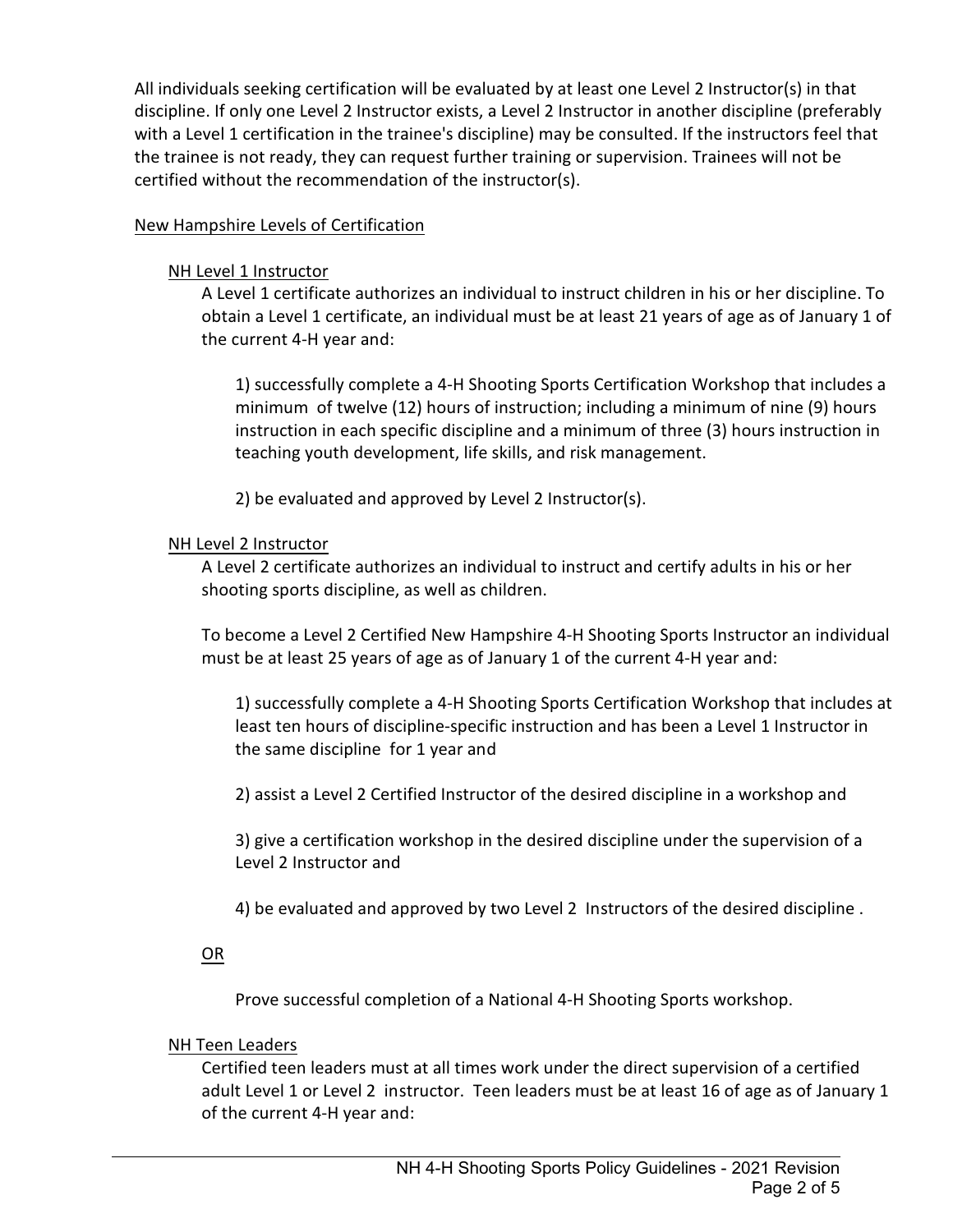All individuals seeking certification will be evaluated by at least one Level 2 Instructor(s) in that discipline. If only one Level 2 Instructor exists, a Level 2 Instructor in another discipline (preferably with a Level 1 certification in the trainee's discipline) may be consulted. If the instructors feel that the trainee is not ready, they can request further training or supervision. Trainees will not be certified without the recommendation of the instructor(s).

### New Hampshire Levels of Certification

### NH Level 1 Instructor

A Level 1 certificate authorizes an individual to instruct children in his or her discipline. To obtain a Level 1 certificate, an individual must be at least 21 years of age as of January 1 of the current 4-H year and:

1) successfully complete a 4-H Shooting Sports Certification Workshop that includes a minimum of twelve (12) hours of instruction; including a minimum of nine (9) hours instruction in each specific discipline and a minimum of three (3) hours instruction in teaching youth development, life skills, and risk management.

2) be evaluated and approved by Level 2 Instructor(s).

### NH Level 2 Instructor

A Level 2 certificate authorizes an individual to instruct and certify adults in his or her shooting sports discipline, as well as children.

To become a Level 2 Certified New Hampshire 4-H Shooting Sports Instructor an individual must be at least 25 years of age as of January 1 of the current 4-H year and:

1) successfully complete a 4-H Shooting Sports Certification Workshop that includes at least ten hours of discipline-specific instruction and has been a Level 1 Instructor in the same discipline for 1 year and

2) assist a Level 2 Certified Instructor of the desired discipline in a workshop and

3) give a certification workshop in the desired discipline under the supervision of a Level 2 Instructor and

4) be evaluated and approved by two Level 2 Instructors of the desired discipline .

OR

Prove successful completion of a National 4-H Shooting Sports workshop.

#### NH Teen Leaders

Certified teen leaders must at all times work under the direct supervision of a certified adult Level 1 or Level 2 instructor.Teen leaders must be at least 16 of age as of January 1 of the current 4-H year and: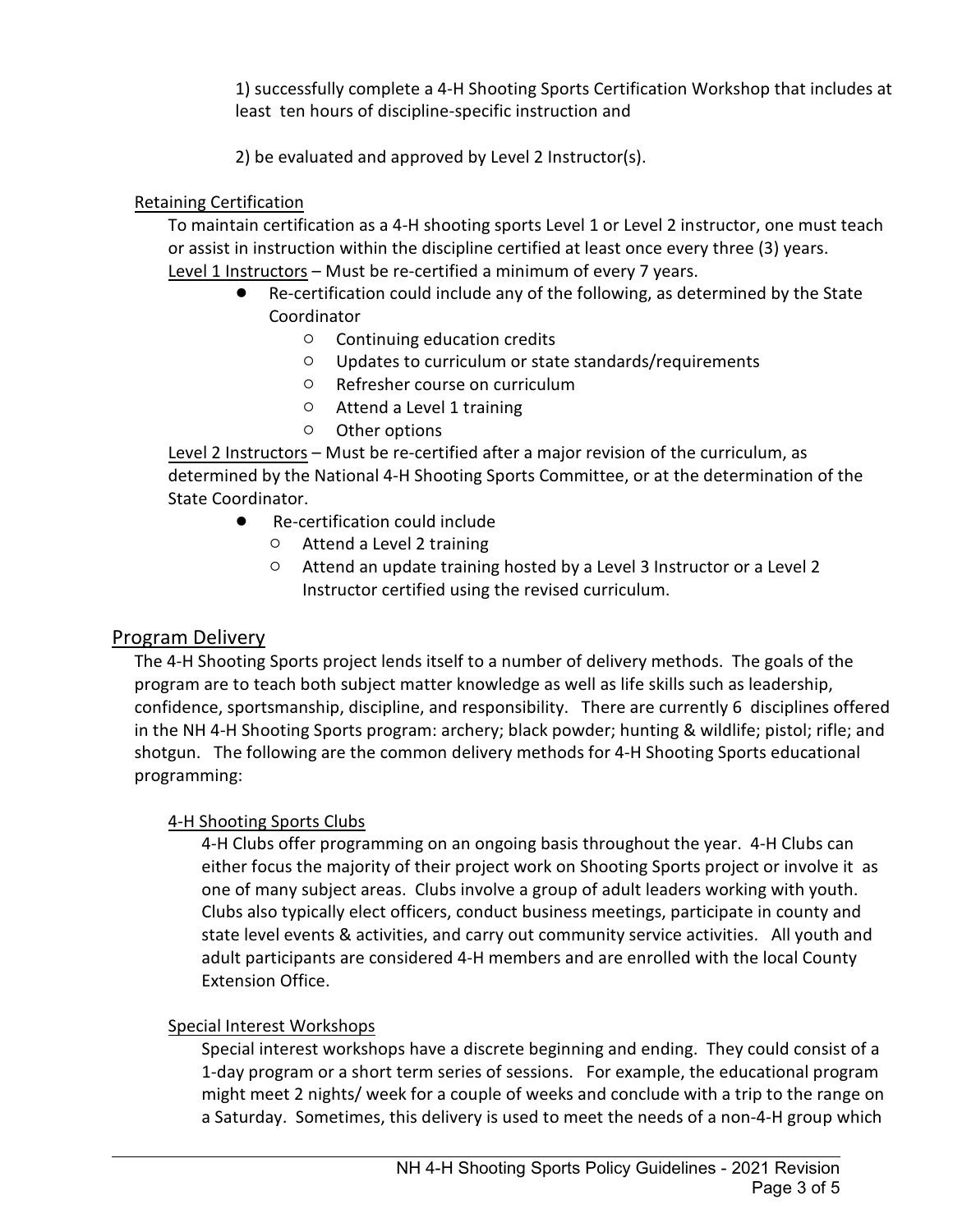1) successfully complete a 4-H Shooting Sports Certification Workshop that includes at least ten hours of discipline-specific instruction and

2) be evaluated and approved by Level 2 Instructor(s).

# Retaining Certification

To maintain certification as a 4-H shooting sports Level 1 or Level 2 instructor, one must teach or assist in instruction within the discipline certified at least once every three (3) years. Level 1 Instructors – Must be re-certified a minimum of every 7 years.

- Re-certification could include any of the following, as determined by the State Coordinator
	- $\circ$  Continuing education credits
	- $\circ$  Updates to curriculum or state standards/requirements
	- $\circ$  Refresher course on curriculum
	- $\circ$  Attend a Level 1 training
	- $\circ$  Other options

Level 2 Instructors – Must be re-certified after a major revision of the curriculum, as determined by the National 4-H Shooting Sports Committee, or at the determination of the State Coordinator.

- Re-certification could include
	- $\circ$  Attend a Level 2 training
	- $\circ$  Attend an update training hosted by a Level 3 Instructor or a Level 2 Instructor certified using the revised curriculum.

# Program Delivery

The 4-H Shooting Sports project lends itself to a number of delivery methods. The goals of the program are to teach both subject matter knowledge as well as life skills such as leadership, confidence, sportsmanship, discipline, and responsibility. There are currently 6 disciplines offered in the NH 4-H Shooting Sports program: archery; black powder; hunting & wildlife; pistol; rifle; and shotgun. The following are the common delivery methods for 4-H Shooting Sports educational programming:

# 4-H Shooting Sports Clubs

4-H Clubs offer programming on an ongoing basis throughout the year. 4-H Clubs can either focus the majority of their project work on Shooting Sports project or involve it as one of many subject areas. Clubs involve a group of adult leaders working with youth. Clubs also typically elect officers, conduct business meetings, participate in county and state level events & activities, and carry out community service activities. All youth and adult participants are considered 4-H members and are enrolled with the local County Extension Office.

# Special Interest Workshops

Special interest workshops have a discrete beginning and ending. They could consist of a 1-day program or a short term series of sessions. For example, the educational program might meet 2 nights/ week for a couple of weeks and conclude with a trip to the range on a Saturday. Sometimes, this delivery is used to meet the needs of a non-4-H group which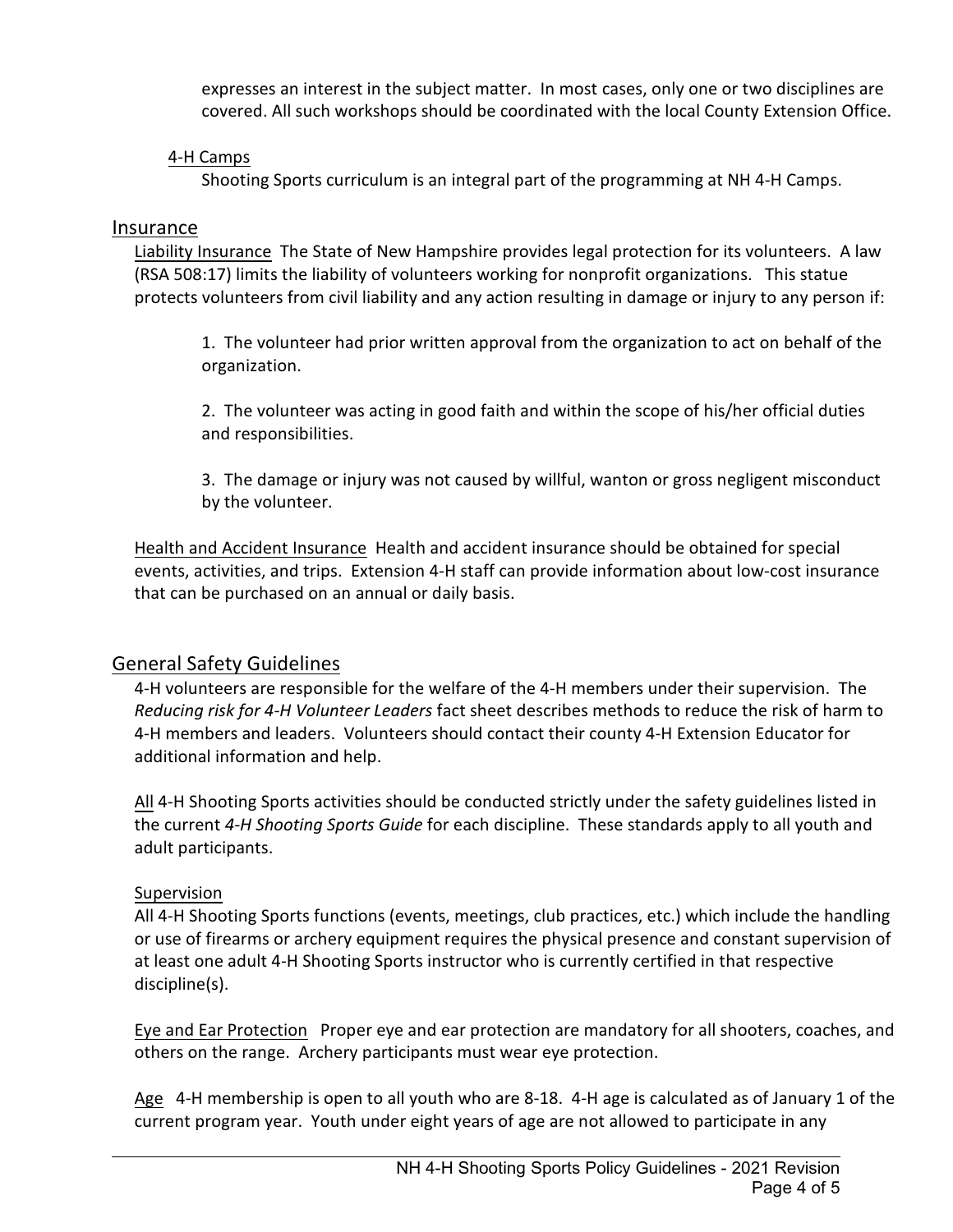expresses an interest in the subject matter. In most cases, only one or two disciplines are covered. All such workshops should be coordinated with the local County Extension Office.

### 4-H Camps

Shooting Sports curriculum is an integral part of the programming at NH 4-H Camps.

### Insurance

Liability Insurance The State of New Hampshire provides legal protection for its volunteers. A law (RSA 508:17) limits the liability of volunteers working for nonprofit organizations. This statue protects volunteers from civil liability and any action resulting in damage or injury to any person if:

1. The volunteer had prior written approval from the organization to act on behalf of the organization.

2. The volunteer was acting in good faith and within the scope of his/her official duties and responsibilities.

3. The damage or injury was not caused by willful, wanton or gross negligent misconduct by the volunteer.

Health and Accident Insurance Health and accident insurance should be obtained for special events, activities, and trips. Extension 4-H staff can provide information about low-cost insurance that can be purchased on an annual or daily basis.

# General Safety Guidelines

4-H volunteers are responsible for the welfare of the 4-H members under their supervision. The *Reducing risk for 4-H Volunteer Leaders* fact sheet describes methods to reduce the risk of harm to 4-H members and leaders. Volunteers should contact their county 4-H Extension Educator for additional information and help.

All 4-H Shooting Sports activities should be conducted strictly under the safety guidelines listed in the current *4-H Shooting Sports Guide* for each discipline. These standards apply to all youth and adult participants.

# Supervision

All 4-H Shooting Sports functions (events, meetings, club practices, etc.) which include the handling or use of firearms or archery equipment requires the physical presence and constant supervision of at least one adult 4-H Shooting Sports instructor who is currently certified in that respective discipline(s).

Eye and Ear Protection Proper eye and ear protection are mandatory for all shooters, coaches, and others on the range. Archery participants must wear eye protection.

Age 4-H membership is open to all youth who are 8-18. 4-H age is calculated as of January 1 of the current program year. Youth under eight years of age are not allowed to participate in any